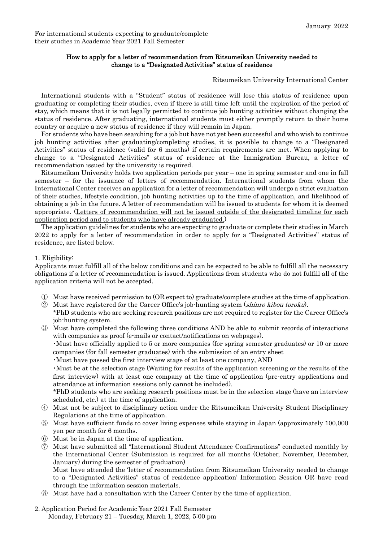## How to apply for a letter of recommendation from Ritsumeikan University needed to change to a "Designated Activities" status of residence

Ritsumeikan University International Center

International students with a "Student" status of residence will lose this status of residence upon graduating or completing their studies, even if there is still time left until the expiration of the period of stay, which means that it is not legally permitted to continue job hunting activities without changing the status of residence. After graduating, international students must either promptly return to their home country or acquire a new status of residence if they will remain in Japan.

For students who have been searching for a job but have not yet been successful and who wish to continue job hunting activities after graduating/completing studies, it is possible to change to a "Designated Activities" status of residence (valid for 6 months) if certain requirements are met. When applying to change to a "Designated Activities" status of residence at the Immigration Bureau, a letter of recommendation issued by the university is required.

Ritsumeikan University holds two application periods per year – one in spring semester and one in fall semester – for the issuance of letters of recommendation. International students from whom the International Center receives an application for a letter of recommendation will undergo a strict evaluation of their studies, lifestyle condition, job hunting activities up to the time of application, and likelihood of obtaining a job in the future. A letter of recommendation will be issued to students for whom it is deemed appropriate. (Letters of recommendation will not be issued outside of the designated timeline for each application period and to students who have already graduated.)

The application guidelines for students who are expecting to graduate or complete their studies in March 2022 to apply for a letter of recommendation in order to apply for a "Designated Activities" status of residence, are listed below.

## 1. Eligibility:

Applicants must fulfill all of the below conditions and can be expected to be able to fulfill all the necessary obligations if a letter of recommendation is issued. Applications from students who do not fulfill all of the application criteria will not be accepted.

- ① Must have received permission to (OR expect to) graduate/complete studies at the time of application.
- ② Must have registered for the Career Office's job-hunting system (shinro kibou toroku). \*PhD students who are seeking research positions are not required to register for the Career Office's job-hunting system.
- ③ Must have completed the following three conditions AND be able to submit records of interactions with companies as proof (e-mails or contact/notifications on webpages).

・Must have officially applied to 5 or more companies (for spring semester graduates) or 10 or more companies (for fall semester graduates) with the submission of an entry sheet

・Must have passed the first interview stage of at least one company, AND

・Must be at the selection stage (Waiting for results of the application screening or the results of the first interview) with at least one company at the time of application (pre-entry applications and attendance at information sessions only cannot be included).

\*PhD students who are seeking research positions must be in the selection stage (have an interview scheduled, etc.) at the time of application.

- ④ Must not be subject to disciplinary action under the Ritsumeikan University Student Disciplinary Regulations at the time of application.
- ⑤ Must have sufficient funds to cover living expenses while staying in Japan (approximately 100,000 yen per month for 6 months.
- ⑥ Must be in Japan at the time of application.
- ⑦ Must have submitted all "International Student Attendance Confirmations" conducted monthly by the International Center (Submission is required for all months (October, November, December, January) during the semester of graduation)

Must have attended the 'letter of recommendation from Ritsumeikan University needed to change to a "Designated Activities" status of residence application' Information Session OR have read through the information session materials.

Must have had a consultation with the Career Center by the time of application.

## 2. Application Period for Academic Year 2021 Fall Semester Monday, February 21 – Tuesday, March 1, 2022, 5:00 pm